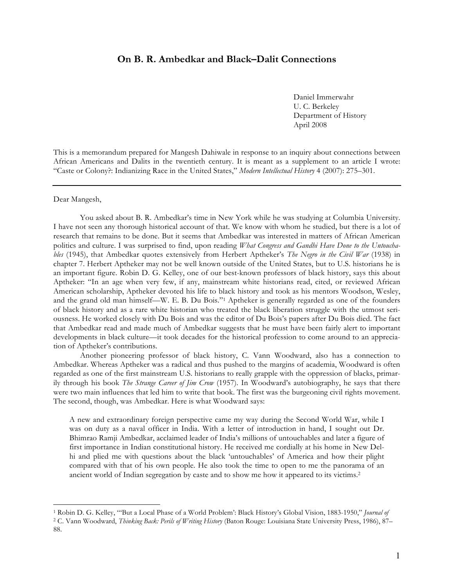## **On B. R. Ambedkar and Black–Dalit Connections**

Daniel Immerwahr U. C. Berkeley Department of History April 2008

This is a memorandum prepared for Mangesh Dahiwale in response to an inquiry about connections between African Americans and Dalits in the twentieth century. It is meant as a supplement to an article I wrote: "Caste or Colony?: Indianizing Race in the United States," *Modern Intellectual History* 4 (2007): 275–301.

Dear Mangesh,

 $\overline{a}$ 

You asked about B. R. Ambedkar's time in New York while he was studying at Columbia University. I have not seen any thorough historical account of that. We know with whom he studied, but there is a lot of research that remains to be done. But it seems that Ambedkar was interested in matters of African American politics and culture. I was surprised to find, upon reading *What Congress and Gandhi Have Done to the Untouchables* (1945), that Ambedkar quotes extensively from Herbert Aptheker's *The Negro in the Civil War* (1938) in chapter 7. Herbert Aptheker may not be well known outside of the United States, but to U.S. historians he is an important figure. Robin D. G. Kelley, one of our best-known professors of black history, says this about Aptheker: "In an age when very few, if any, mainstream white historians read, cited, or reviewed African American scholarship, Aptheker devoted his life to black history and took as his mentors Woodson, Wesley, and the grand old man himself—W. E. B. Du Bois."1 Aptheker is generally regarded as one of the founders of black history and as a rare white historian who treated the black liberation struggle with the utmost seriousness. He worked closely with Du Bois and was the editor of Du Bois's papers after Du Bois died. The fact that Ambedkar read and made much of Ambedkar suggests that he must have been fairly alert to important developments in black culture—it took decades for the historical profession to come around to an appreciation of Aptheker's contributions.

Another pioneering professor of black history, C. Vann Woodward, also has a connection to Ambedkar. Whereas Aptheker was a radical and thus pushed to the margins of academia, Woodward is often regarded as one of the first mainstream U.S. historians to really grapple with the oppression of blacks, primarily through his book *The Strange Career of Jim Crow* (1957). In Woodward's autobiography, he says that there were two main influences that led him to write that book. The first was the burgeoning civil rights movement. The second, though, was Ambedkar. Here is what Woodward says:

A new and extraordinary foreign perspective came my way during the Second World War, while I was on duty as a naval officer in India. With a letter of introduction in hand, I sought out Dr. Bhimrao Ramji Ambedkar, acclaimed leader of India's millions of untouchables and later a figure of first importance in Indian constitutional history. He received me cordially at his home in New Delhi and plied me with questions about the black 'untouchables' of America and how their plight compared with that of his own people. He also took the time to open to me the panorama of an ancient world of Indian segregation by caste and to show me how it appeared to its victims.2

<sup>1</sup> Robin D. G. Kelley, "'But a Local Phase of a World Problem': Black History's Global Vision, 1883-1950," *Journal of* 

<sup>2</sup> C. Vann Woodward, *Thinking Back: Perils of Writing History* (Baton Rouge: Louisiana State University Press, 1986), 87– 88.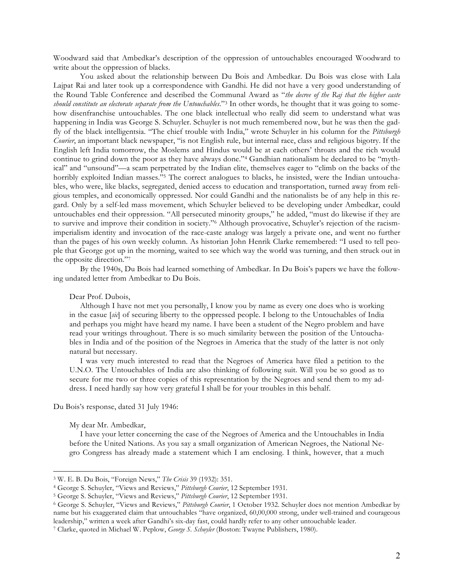Woodward said that Ambedkar's description of the oppression of untouchables encouraged Woodward to write about the oppression of blacks.

You asked about the relationship between Du Bois and Ambedkar. Du Bois was close with Lala Lajpat Rai and later took up a correspondence with Gandhi. He did not have a very good understanding of the Round Table Conference and described the Communal Award as "*the decree of the Raj that the higher caste should constitute an electorate separate from the Untouchables*."3 In other words, he thought that it was going to somehow disenfranchise untouchables. The one black intellectual who really did seem to understand what was happening in India was George S. Schuyler. Schuyler is not much remembered now, but he was then the gadfly of the black intelligentsia. "The chief trouble with India," wrote Schuyler in his column for the *Pittsburgh Courier*, an important black newspaper, "is not English rule, but internal race, class and religious bigotry. If the English left India tomorrow, the Moslems and Hindus would be at each others' throats and the rich would continue to grind down the poor as they have always done."4 Gandhian nationalism he declared to be "mythical" and "unsound"—a scam perpetrated by the Indian elite, themselves eager to "climb on the backs of the horribly exploited Indian masses."<sup>5</sup> The correct analogues to blacks, he insisted, were the Indian untouchables, who were, like blacks, segregated, denied access to education and transportation, turned away from religious temples, and economically oppressed. Nor could Gandhi and the nationalists be of any help in this regard. Only by a self-led mass movement, which Schuyler believed to be developing under Ambedkar, could untouchables end their oppression. "All persecuted minority groups," he added, "must do likewise if they are to survive and improve their condition in society."6 Although provocative, Schuyler's rejection of the racismimperialism identity and invocation of the race-caste analogy was largely a private one, and went no further than the pages of his own weekly column. As historian John Henrik Clarke remembered: "I used to tell people that George got up in the morning, waited to see which way the world was turning, and then struck out in the opposite direction."7

By the 1940s, Du Bois had learned something of Ambedkar. In Du Bois's papers we have the following undated letter from Ambedkar to Du Bois.

Dear Prof. Dubois,

Although I have not met you personally, I know you by name as every one does who is working in the casue [*sic*] of securing liberty to the oppressed people. I belong to the Untouchables of India and perhaps you might have heard my name. I have been a student of the Negro problem and have read your writings throughout. There is so much similarity between the position of the Untouchables in India and of the position of the Negroes in America that the study of the latter is not only natural but necessary.

I was very much interested to read that the Negroes of America have filed a petition to the U.N.O. The Untouchables of India are also thinking of following suit. Will you be so good as to secure for me two or three copies of this representation by the Negroes and send them to my address. I need hardly say how very grateful I shall be for your troubles in this behalf.

Du Bois's response, dated 31 July 1946:

My dear Mr. Ambedkar,

 $\overline{a}$ 

I have your letter concerning the case of the Negroes of America and the Untouchables in India before the United Nations. As you say a small organization of American Negroes, the National Negro Congress has already made a statement which I am enclosing. I think, however, that a much

<sup>3</sup> W. E. B. Du Bois, "Foreign News," *The Crisis* 39 (1932): 351.

<sup>4</sup> George S. Schuyler, "Views and Reviews," *Pittsburgh Courier*, 12 September 1931. 5 George S. Schuyler, "Views and Reviews," *Pittsburgh Courier*, 12 September 1931.

<sup>6</sup> George S. Schuyler, "Views and Reviews," *Pittsburgh Courier*, 1 October 1932. Schuyler does not mention Ambedkar by name but his exaggerated claim that untouchables "have organized, 60,00,000 strong, under well-trained and courageous leadership," written a week after Gandhi's six-day fast, could hardly refer to any other untouchable leader. 7 Clarke, quoted in Michael W. Peplow, *George S. Schuyler* (Boston: Twayne Publishers, 1980).